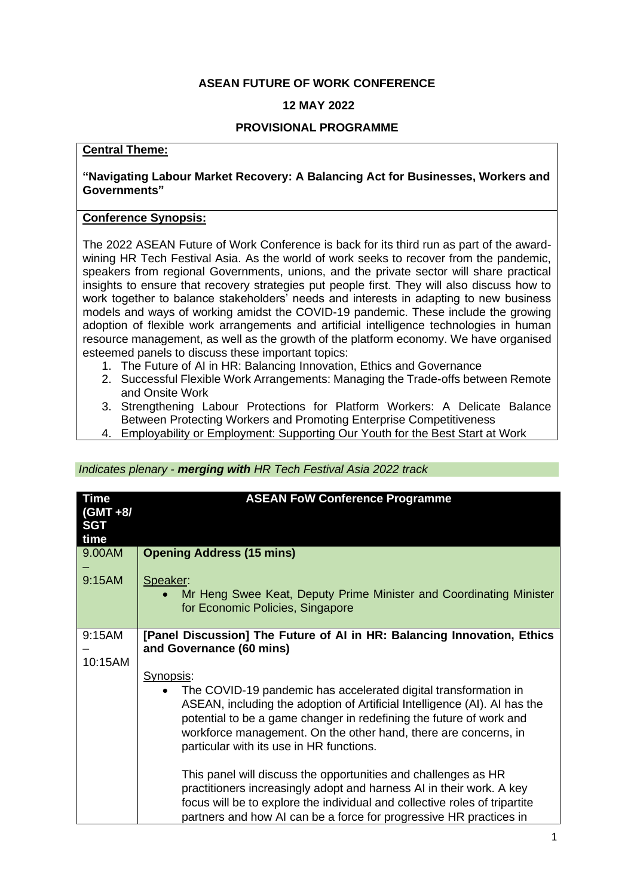## **ASEAN FUTURE OF WORK CONFERENCE**

# **12 MAY 2022**

### **PROVISIONAL PROGRAMME**

## **Central Theme:**

#### **"Navigating Labour Market Recovery: A Balancing Act for Businesses, Workers and Governments"**

#### **Conference Synopsis:**

The 2022 ASEAN Future of Work Conference is back for its third run as part of the awardwining HR Tech Festival Asia. As the world of work seeks to recover from the pandemic, speakers from regional Governments, unions, and the private sector will share practical insights to ensure that recovery strategies put people first. They will also discuss how to work together to balance stakeholders' needs and interests in adapting to new business models and ways of working amidst the COVID-19 pandemic. These include the growing adoption of flexible work arrangements and artificial intelligence technologies in human resource management, as well as the growth of the platform economy. We have organised esteemed panels to discuss these important topics:

- 1. The Future of AI in HR: Balancing Innovation, Ethics and Governance
- 2. Successful Flexible Work Arrangements: Managing the Trade-offs between Remote and Onsite Work
- 3. Strengthening Labour Protections for Platform Workers: A Delicate Balance Between Protecting Workers and Promoting Enterprise Competitiveness
- 4. Employability or Employment: Supporting Our Youth for the Best Start at Work

#### *Indicates plenary - merging with HR Tech Festival Asia 2022 track*

| <b>Time</b><br>$(GMT + 8)$<br><b>SGT</b><br>time | <b>ASEAN FoW Conference Programme</b>                                                                                                                                                                                                                                                                                                           |
|--------------------------------------------------|-------------------------------------------------------------------------------------------------------------------------------------------------------------------------------------------------------------------------------------------------------------------------------------------------------------------------------------------------|
| 9.00AM                                           | <b>Opening Address (15 mins)</b>                                                                                                                                                                                                                                                                                                                |
| 9:15AM                                           | Speaker:<br>Mr Heng Swee Keat, Deputy Prime Minister and Coordinating Minister<br>for Economic Policies, Singapore                                                                                                                                                                                                                              |
| 9:15AM                                           | [Panel Discussion] The Future of AI in HR: Balancing Innovation, Ethics                                                                                                                                                                                                                                                                         |
| 10:15AM                                          | and Governance (60 mins)                                                                                                                                                                                                                                                                                                                        |
|                                                  | Synopsis:<br>The COVID-19 pandemic has accelerated digital transformation in<br>ASEAN, including the adoption of Artificial Intelligence (AI). AI has the<br>potential to be a game changer in redefining the future of work and<br>workforce management. On the other hand, there are concerns, in<br>particular with its use in HR functions. |
|                                                  | This panel will discuss the opportunities and challenges as HR<br>practitioners increasingly adopt and harness AI in their work. A key<br>focus will be to explore the individual and collective roles of tripartite<br>partners and how AI can be a force for progressive HR practices in                                                      |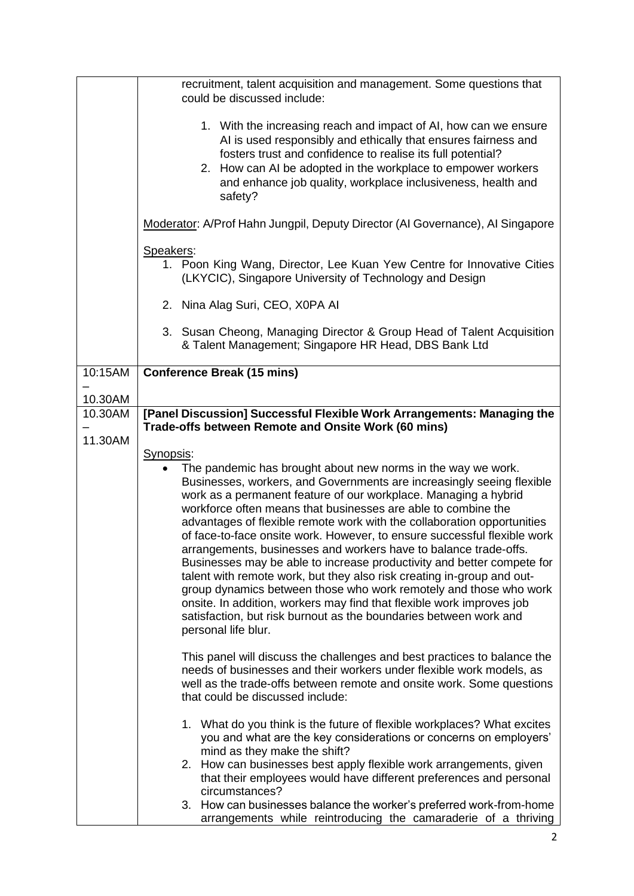|         | recruitment, talent acquisition and management. Some questions that<br>could be discussed include:                                                                                                                                                                                                                                                                                                                                                                                                                                                                                                                                                                                                                                                                                                                                                                                                 |
|---------|----------------------------------------------------------------------------------------------------------------------------------------------------------------------------------------------------------------------------------------------------------------------------------------------------------------------------------------------------------------------------------------------------------------------------------------------------------------------------------------------------------------------------------------------------------------------------------------------------------------------------------------------------------------------------------------------------------------------------------------------------------------------------------------------------------------------------------------------------------------------------------------------------|
|         | 1. With the increasing reach and impact of AI, how can we ensure<br>AI is used responsibly and ethically that ensures fairness and<br>fosters trust and confidence to realise its full potential?<br>2. How can AI be adopted in the workplace to empower workers<br>and enhance job quality, workplace inclusiveness, health and<br>safety?                                                                                                                                                                                                                                                                                                                                                                                                                                                                                                                                                       |
|         | Moderator: A/Prof Hahn Jungpil, Deputy Director (Al Governance), Al Singapore                                                                                                                                                                                                                                                                                                                                                                                                                                                                                                                                                                                                                                                                                                                                                                                                                      |
|         | Speakers:<br>1. Poon King Wang, Director, Lee Kuan Yew Centre for Innovative Cities<br>(LKYCIC), Singapore University of Technology and Design                                                                                                                                                                                                                                                                                                                                                                                                                                                                                                                                                                                                                                                                                                                                                     |
|         | 2. Nina Alag Suri, CEO, X0PA Al                                                                                                                                                                                                                                                                                                                                                                                                                                                                                                                                                                                                                                                                                                                                                                                                                                                                    |
|         | 3. Susan Cheong, Managing Director & Group Head of Talent Acquisition<br>& Talent Management; Singapore HR Head, DBS Bank Ltd                                                                                                                                                                                                                                                                                                                                                                                                                                                                                                                                                                                                                                                                                                                                                                      |
| 10:15AM | <b>Conference Break (15 mins)</b>                                                                                                                                                                                                                                                                                                                                                                                                                                                                                                                                                                                                                                                                                                                                                                                                                                                                  |
| 10.30AM |                                                                                                                                                                                                                                                                                                                                                                                                                                                                                                                                                                                                                                                                                                                                                                                                                                                                                                    |
| 10.30AM | [Panel Discussion] Successful Flexible Work Arrangements: Managing the<br>Trade-offs between Remote and Onsite Work (60 mins)                                                                                                                                                                                                                                                                                                                                                                                                                                                                                                                                                                                                                                                                                                                                                                      |
| 11.30AM |                                                                                                                                                                                                                                                                                                                                                                                                                                                                                                                                                                                                                                                                                                                                                                                                                                                                                                    |
|         | Synopsis:                                                                                                                                                                                                                                                                                                                                                                                                                                                                                                                                                                                                                                                                                                                                                                                                                                                                                          |
|         | The pandemic has brought about new norms in the way we work.<br>Businesses, workers, and Governments are increasingly seeing flexible<br>work as a permanent feature of our workplace. Managing a hybrid<br>workforce often means that businesses are able to combine the<br>advantages of flexible remote work with the collaboration opportunities<br>of face-to-face onsite work. However, to ensure successful flexible work<br>arrangements, businesses and workers have to balance trade-offs.<br>Businesses may be able to increase productivity and better compete for<br>talent with remote work, but they also risk creating in-group and out-<br>group dynamics between those who work remotely and those who work<br>onsite. In addition, workers may find that flexible work improves job<br>satisfaction, but risk burnout as the boundaries between work and<br>personal life blur. |
|         | This panel will discuss the challenges and best practices to balance the<br>needs of businesses and their workers under flexible work models, as<br>well as the trade-offs between remote and onsite work. Some questions<br>that could be discussed include:                                                                                                                                                                                                                                                                                                                                                                                                                                                                                                                                                                                                                                      |
|         | 1. What do you think is the future of flexible workplaces? What excites<br>you and what are the key considerations or concerns on employers'<br>mind as they make the shift?                                                                                                                                                                                                                                                                                                                                                                                                                                                                                                                                                                                                                                                                                                                       |
|         | 2. How can businesses best apply flexible work arrangements, given<br>that their employees would have different preferences and personal                                                                                                                                                                                                                                                                                                                                                                                                                                                                                                                                                                                                                                                                                                                                                           |
|         | circumstances?<br>3. How can businesses balance the worker's preferred work-from-home                                                                                                                                                                                                                                                                                                                                                                                                                                                                                                                                                                                                                                                                                                                                                                                                              |
|         | arrangements while reintroducing the camaraderie of a thriving                                                                                                                                                                                                                                                                                                                                                                                                                                                                                                                                                                                                                                                                                                                                                                                                                                     |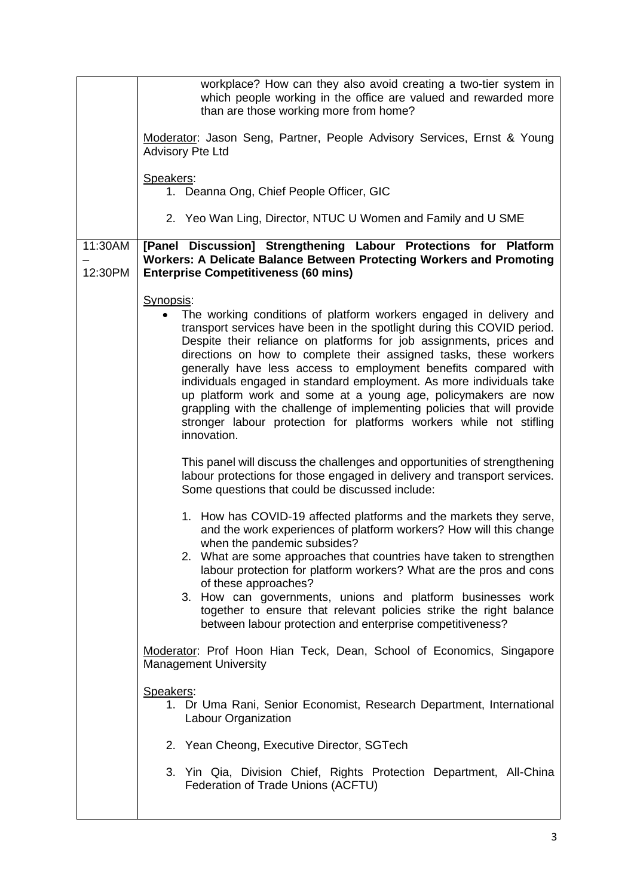|                    | workplace? How can they also avoid creating a two-tier system in<br>which people working in the office are valued and rewarded more<br>than are those working more from home?                                                                                                                                                                                                                                                                                                                                                                                                                                                                                                                                                                                                                                                                                                                                                                                                                                                                |
|--------------------|----------------------------------------------------------------------------------------------------------------------------------------------------------------------------------------------------------------------------------------------------------------------------------------------------------------------------------------------------------------------------------------------------------------------------------------------------------------------------------------------------------------------------------------------------------------------------------------------------------------------------------------------------------------------------------------------------------------------------------------------------------------------------------------------------------------------------------------------------------------------------------------------------------------------------------------------------------------------------------------------------------------------------------------------|
|                    | Moderator: Jason Seng, Partner, People Advisory Services, Ernst & Young<br><b>Advisory Pte Ltd</b>                                                                                                                                                                                                                                                                                                                                                                                                                                                                                                                                                                                                                                                                                                                                                                                                                                                                                                                                           |
|                    | Speakers:<br>1. Deanna Ong, Chief People Officer, GIC                                                                                                                                                                                                                                                                                                                                                                                                                                                                                                                                                                                                                                                                                                                                                                                                                                                                                                                                                                                        |
|                    | 2. Yeo Wan Ling, Director, NTUC U Women and Family and U SME                                                                                                                                                                                                                                                                                                                                                                                                                                                                                                                                                                                                                                                                                                                                                                                                                                                                                                                                                                                 |
| 11:30AM<br>12:30PM | [Panel Discussion] Strengthening Labour Protections for Platform<br><b>Workers: A Delicate Balance Between Protecting Workers and Promoting</b><br><b>Enterprise Competitiveness (60 mins)</b>                                                                                                                                                                                                                                                                                                                                                                                                                                                                                                                                                                                                                                                                                                                                                                                                                                               |
|                    | Synopsis:<br>The working conditions of platform workers engaged in delivery and<br>transport services have been in the spotlight during this COVID period.<br>Despite their reliance on platforms for job assignments, prices and<br>directions on how to complete their assigned tasks, these workers<br>generally have less access to employment benefits compared with<br>individuals engaged in standard employment. As more individuals take<br>up platform work and some at a young age, policymakers are now<br>grappling with the challenge of implementing policies that will provide<br>stronger labour protection for platforms workers while not stifling<br>innovation.<br>This panel will discuss the challenges and opportunities of strengthening<br>labour protections for those engaged in delivery and transport services.<br>Some questions that could be discussed include:<br>1. How has COVID-19 affected platforms and the markets they serve,<br>and the work experiences of platform workers? How will this change |
|                    | when the pandemic subsides?<br>2. What are some approaches that countries have taken to strengthen<br>labour protection for platform workers? What are the pros and cons<br>of these approaches?<br>3. How can governments, unions and platform businesses work<br>together to ensure that relevant policies strike the right balance<br>between labour protection and enterprise competitiveness?                                                                                                                                                                                                                                                                                                                                                                                                                                                                                                                                                                                                                                           |
|                    | Moderator: Prof Hoon Hian Teck, Dean, School of Economics, Singapore<br><b>Management University</b>                                                                                                                                                                                                                                                                                                                                                                                                                                                                                                                                                                                                                                                                                                                                                                                                                                                                                                                                         |
|                    | Speakers:<br>1. Dr Uma Rani, Senior Economist, Research Department, International<br>Labour Organization                                                                                                                                                                                                                                                                                                                                                                                                                                                                                                                                                                                                                                                                                                                                                                                                                                                                                                                                     |
|                    | 2. Yean Cheong, Executive Director, SGTech                                                                                                                                                                                                                                                                                                                                                                                                                                                                                                                                                                                                                                                                                                                                                                                                                                                                                                                                                                                                   |
|                    | 3. Yin Qia, Division Chief, Rights Protection Department, All-China<br>Federation of Trade Unions (ACFTU)                                                                                                                                                                                                                                                                                                                                                                                                                                                                                                                                                                                                                                                                                                                                                                                                                                                                                                                                    |